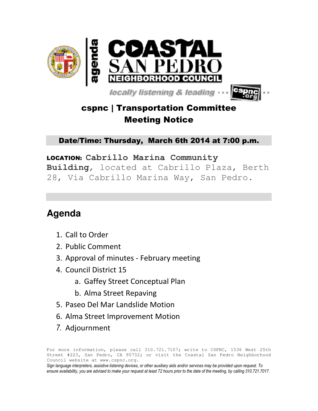

**locally listening & leading .** 



## cspnc | Transportation Committee Meeting Notice

Date/Time: Thursday, March 6th 2014 at 7:00 p.m.

### LOCATION: **Cabrillo Marina Community**

**Building**, located at Cabrillo Plaza, Berth 28, Via Cabrillo Marina Way, San Pedro.

# **Agenda**

- 1. Call to Order
- 2. Public Comment
- 3. Approval of minutes February meeting
- 4. Council District 15
	- a. Gaffey Street Conceptual Plan
	- b. Alma Street Repaving
- 5. Paseo Del Mar Landslide Motion
- 6. Alma Street Improvement Motion
- 7. Adjournment

For more information, please call 310.721.7107; write to CSPNC, 1536 West 25th Street #223, San Pedro, CA 90732; or visit the Coastal San Pedro Neighborhood Council website at www.cspnc.org.

Sign language interpreters, assistive listening devices, or other auxiliary aids and/or services may be provided upon request. To ensure availability, you are advised to make your request at least 72 hours prior to the date of the meeting, by calling 310.721.7017.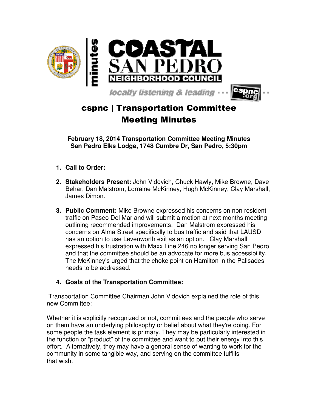



**February 18, 2014 Transportation Committee Meeting Minutes San Pedro Elks Lodge, 1748 Cumbre Dr, San Pedro, 5:30pm** 

- **1. Call to Order:**
- **2. Stakeholders Present:** John Vidovich, Chuck Hawly, Mike Browne, Dave Behar, Dan Malstrom, Lorraine McKinney, Hugh McKinney, Clay Marshall, James Dimon.
- **3. Public Comment:** Mike Browne expressed his concerns on non resident traffic on Paseo Del Mar and will submit a motion at next months meeting outlining recommended improvements. Dan Malstrom expressed his concerns on Alma Street specifically to bus traffic and said that LAUSD has an option to use Levenworth exit as an option. Clay Marshall expressed his frustration with Maxx Line 246 no longer serving San Pedro and that the committee should be an advocate for more bus accessibility. The McKinney's urged that the choke point on Hamilton in the Palisades needs to be addressed.

#### **4. Goals of the Transportation Committee:**

 Transportation Committee Chairman John Vidovich explained the role of this new Committee:

Whether it is explicitly recognized or not, committees and the people who serve on them have an underlying philosophy or belief about what they're doing. For some people the task element is primary. They may be particularly interested in the function or "product" of the committee and want to put their energy into this effort. Alternatively, they may have a general sense of wanting to work for the community in some tangible way, and serving on the committee fulfills that wish.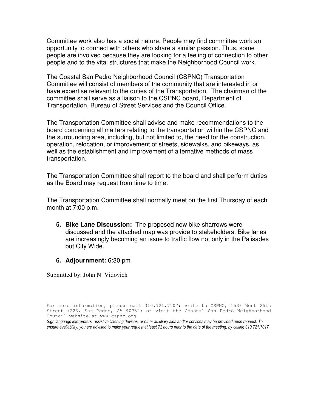Committee work also has a social nature. People may find committee work an opportunity to connect with others who share a similar passion. Thus, some people are involved because they are looking for a feeling of connection to other people and to the vital structures that make the Neighborhood Council work.

The Coastal San Pedro Neighborhood Council (CSPNC) Transportation Committee will consist of members of the community that are interested in or have expertise relevant to the duties of the Transportation. The chairman of the committee shall serve as a liaison to the CSPNC board, Department of Transportation, Bureau of Street Services and the Council Office.

The Transportation Committee shall advise and make recommendations to the board concerning all matters relating to the transportation within the CSPNC and the surrounding area, including, but not limited to, the need for the construction, operation, relocation, or improvement of streets, sidewalks, and bikeways, as well as the establishment and improvement of alternative methods of mass transportation.

The Transportation Committee shall report to the board and shall perform duties as the Board may request from time to time.

The Transportation Committee shall normally meet on the first Thursday of each month at 7:00 p.m.

- **5. Bike Lane Discussion:** The proposed new bike sharrows were discussed and the attached map was provide to stakeholders. Bike lanes are increasingly becoming an issue to traffic flow not only in the Palisades but City Wide.
- **6. Adjournment:** 6:30 pm

Submitted by: John N. Vidovich

Sign language interpreters, assistive listening devices, or other auxiliary aids and/or services may be provided upon request. To ensure availability, you are advised to make your request at least 72 hours prior to the date of the meeting, by calling 310.721.7017.

For more information, please call 310.721.7107; write to CSPNC, 1536 West 25th Street #223, San Pedro, CA 90732; or visit the Coastal San Pedro Neighborhood Council website at www.cspnc.org.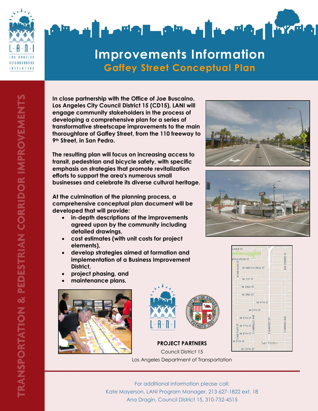



# **Improvements Information Gaffey Street Conceptual Plan**

**In close partnership with the Office of Joe Buscaino, Los Angeles City Council District 15 (CD15), LANI will engage community stakeholders in the process of developing a comprehensive plan for a series of transformative streetscape improvements to the main thoroughfare of Gaffey Street, from the 110 freeway to 9th Street, in San Pedro.**

**The resulting plan will focus on increasing access to transit, pedestrian and bicycle safety, with specific emphasis on strategies that promote revitalization efforts to support the area's numerous small businesses and celebrate its diverse cultural heritage.**

**At the culmination of the planning process, a comprehensive conceptual plan document will be developed that will provide:**

- **in-depth descriptions of the improvements agreed upon by the community including detailed drawings,**
- **cost estimates (with unit costs for project elements),**
- **develop strategies aimed at formation and implementation of a Business Improvement District,**
- **project phasing, and**
- **maintenance plans.**





#### **PROJECT PARTNERS** Council District 15 Los Angeles Department of Transportation





For additional information please call: Kate Mayerson, LANI Program Manager, 213 627-1822 ext. 18 Ana Dragin, Council District 15, 310-732-4515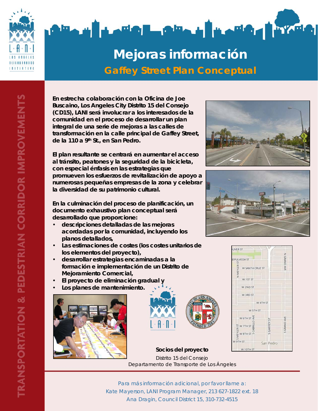



# **Mejoras información Gaffey Street Plan Conceptual**

**En estrecha colaboración con la Oficina de Joe Buscaino, Los Angeles City Distrito 15 del Consejo (CD15), LANI será involucrar a los interesados de la comunidad en el proceso de desarrollar un plan integral de una serie de mejoras a las calles de transformación en la calle principal de Gaffey Street, de la 110 a 9th St., en San Pedro.** 

**El plan resultante se centrará en aumentar el acceso al tránsito, peatones y la seguridad de la bicicleta, con especial énfasis en las estrategias que promueven los esfuerzos de revitalización de apoyo a numerosas pequeñas empresas de la zona y celebrar la diversidad de su patrimonio cultural.** 

**En la culminación del proceso de planificación, un documento exhaustivo plan conceptual será desarrollado que proporcione:** 

- **descripciones detalladas de las mejoras acordadas por la comunidad, incluyendo los planos detallados,**
- **Las estimaciones de costes (los costes unitarios de los elementos del proyecto),**
- **desarrollar estrategias encaminadas a la formación e implementación de un Distrito de Mejoramiento Comercial,**
- **El proyecto de eliminación gradual y**
- **Los planes de mantenimiento.**













Para más información adicional, por favor llame a: Kate Mayerson, LANI Program Manager, 213 627-1822 ext. 18 Ana Dragin, Council District 15, 310-732-4515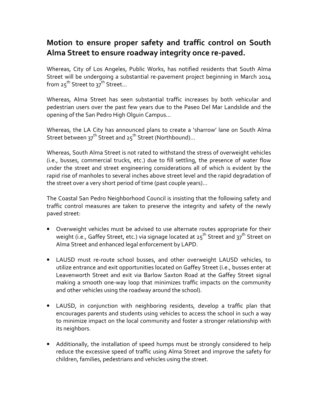### Motion to ensure proper safety and traffic control on South Alma Street to ensure roadway integrity once re-paved.

Whereas, City of Los Angeles, Public Works, has notified residents that South Alma Street will be undergoing a substantial re-pavement project beginning in March 2014 from 25<sup>th</sup> Street to 37<sup>th</sup> Street...

Whereas, Alma Street has seen substantial traffic increases by both vehicular and pedestrian users over the past few years due to the Paseo Del Mar Landslide and the opening of the San Pedro High Olguin Campus…

Whereas, the LA City has announced plans to create a 'sharrow' lane on South Alma Street between  $37^{th}$  Street and  $25^{th}$  Street (Northbound)...

Whereas, South Alma Street is not rated to withstand the stress of overweight vehicles (i.e., busses, commercial trucks, etc.) due to fill settling, the presence of water flow under the street and street engineering considerations all of which is evident by the rapid rise of manholes to several inches above street level and the rapid degradation of the street over a very short period of time (past couple years)…

The Coastal San Pedro Neighborhood Council is insisting that the following safety and traffic control measures are taken to preserve the integrity and safety of the newly paved street:

- Overweight vehicles must be advised to use alternate routes appropriate for their weight (i.e., Gaffey Street, etc.) via signage located at  $25^{th}$  Street and  $37^{th}$  Street on Alma Street and enhanced legal enforcement by LAPD.
- LAUSD must re-route school busses, and other overweight LAUSD vehicles, to utilize entrance and exit opportunities located on Gaffey Street (i.e., busses enter at Leavenworth Street and exit via Barlow Saxton Road at the Gaffey Street signal making a smooth one-way loop that minimizes traffic impacts on the community and other vehicles using the roadway around the school).
- LAUSD, in conjunction with neighboring residents, develop a traffic plan that encourages parents and students using vehicles to access the school in such a way to minimize impact on the local community and foster a stronger relationship with its neighbors.
- Additionally, the installation of speed humps must be strongly considered to help reduce the excessive speed of traffic using Alma Street and improve the safety for children, families, pedestrians and vehicles using the street.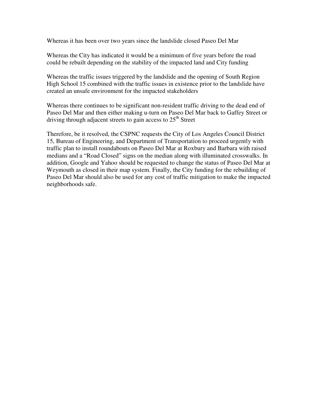Whereas it has been over two years since the landslide closed Paseo Del Mar

Whereas the City has indicated it would be a minimum of five years before the road could be rebuilt depending on the stability of the impacted land and City funding

Whereas the traffic issues triggered by the landslide and the opening of South Region High School 15 combined with the traffic issues in existence prior to the landslide have created an unsafe environment for the impacted stakeholders

Whereas there continues to be significant non-resident traffic driving to the dead end of Paseo Del Mar and then either making u-turn on Paseo Del Mar back to Gaffey Street or driving through adjacent streets to gain access to  $25<sup>th</sup>$  Street

Therefore, be it resolved, the CSPNC requests the City of Los Angeles Council District 15, Bureau of Engineering, and Department of Transportation to proceed urgently with traffic plan to install roundabouts on Paseo Del Mar at Roxbury and Barbara with raised medians and a "Road Closed" signs on the median along with illuminated crosswalks. In addition, Google and Yahoo should be requested to change the status of Paseo Del Mar at Weymouth as closed in their map system. Finally, the City funding for the rebuilding of Paseo Del Mar should also be used for any cost of traffic mitigation to make the impacted neighborhoods safe.